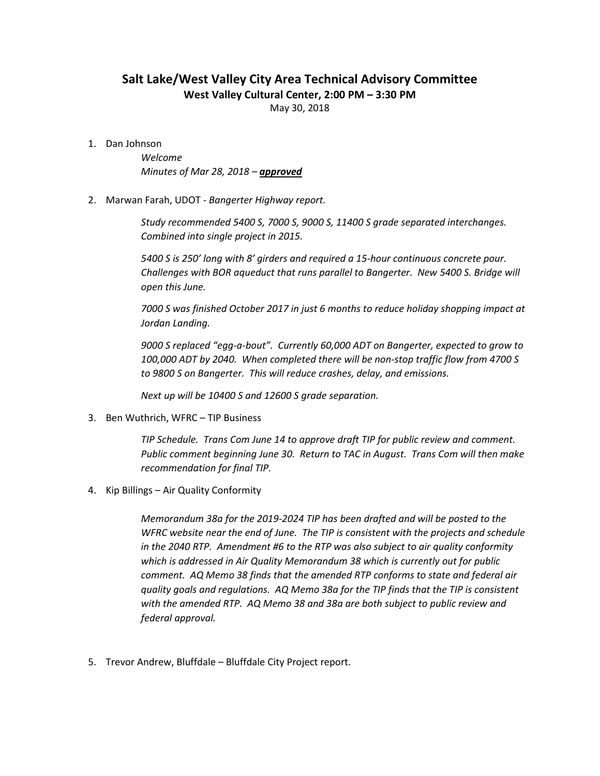## Salt Lake/West Valley City Area Technical Advisory Committee

West Valley Cultural Center, 2:00 PM – 3:30 PM

May 30, 2018

1. Dan Johnson

Welcome Minutes of Mar 28, 2018 - approved

2. Marwan Farah, UDOT - Bangerter Highway report.

Study recommended 5400 S, 7000 S, 9000 S, 11400 S grade separated interchanges. Combined into single project in 2015.

5400 S is 250' long with 8' girders and required a 15-hour continuous concrete pour. Challenges with BOR aqueduct that runs parallel to Bangerter. New 5400 S. Bridge will open this June.

7000 S was finished October 2017 in just 6 months to reduce holiday shopping impact at Jordan Landing.

9000 S replaced "egg-a-bout". Currently 60,000 ADT on Bangerter, expected to grow to 100,000 ADT by 2040. When completed there will be non-stop traffic flow from 4700 S to 9800 S on Bangerter. This will reduce crashes, delay, and emissions.

Next up will be 10400 S and 12600 S grade separation.

3. Ben Wuthrich, WFRC – TIP Business

TIP Schedule. Trans Com June 14 to approve draft TIP for public review and comment. Public comment beginning June 30. Return to TAC in August. Trans Com will then make recommendation for final TIP.

4. Kip Billings – Air Quality Conformity

Memorandum 38a for the 2019-2024 TIP has been drafted and will be posted to the WFRC website near the end of June. The TIP is consistent with the projects and schedule in the 2040 RTP. Amendment #6 to the RTP was also subject to air quality conformity which is addressed in Air Quality Memorandum 38 which is currently out for public comment. AQ Memo 38 finds that the amended RTP conforms to state and federal air quality goals and regulations. AQ Memo 38a for the TIP finds that the TIP is consistent with the amended RTP. AQ Memo 38 and 38a are both subject to public review and federal approval.

5. Trevor Andrew, Bluffdale – Bluffdale City Project report.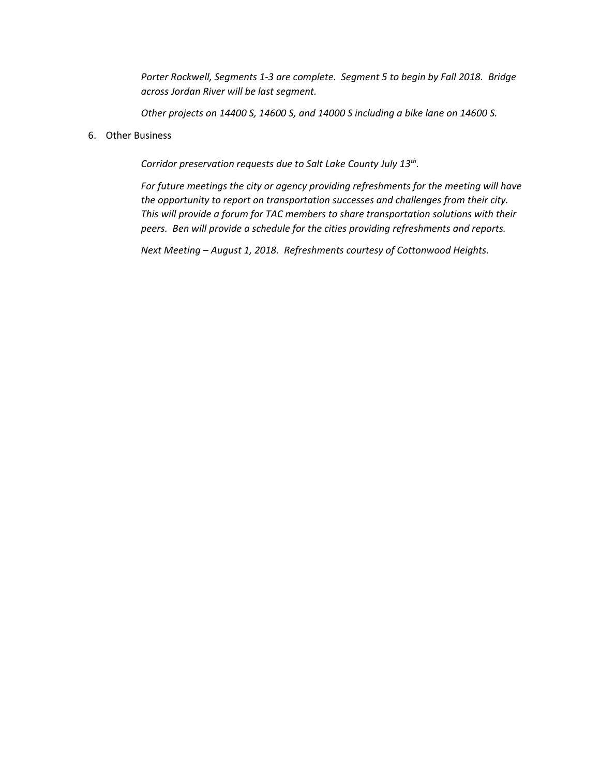Porter Rockwell, Segments 1-3 are complete. Segment 5 to begin by Fall 2018. Bridge across Jordan River will be last segment.

Other projects on 14400 S, 14600 S, and 14000 S including a bike lane on 14600 S.

6. Other Business

Corridor preservation requests due to Salt Lake County July 13<sup>th</sup>.

For future meetings the city or agency providing refreshments for the meeting will have the opportunity to report on transportation successes and challenges from their city. This will provide a forum for TAC members to share transportation solutions with their peers. Ben will provide a schedule for the cities providing refreshments and reports.

Next Meeting – August 1, 2018. Refreshments courtesy of Cottonwood Heights.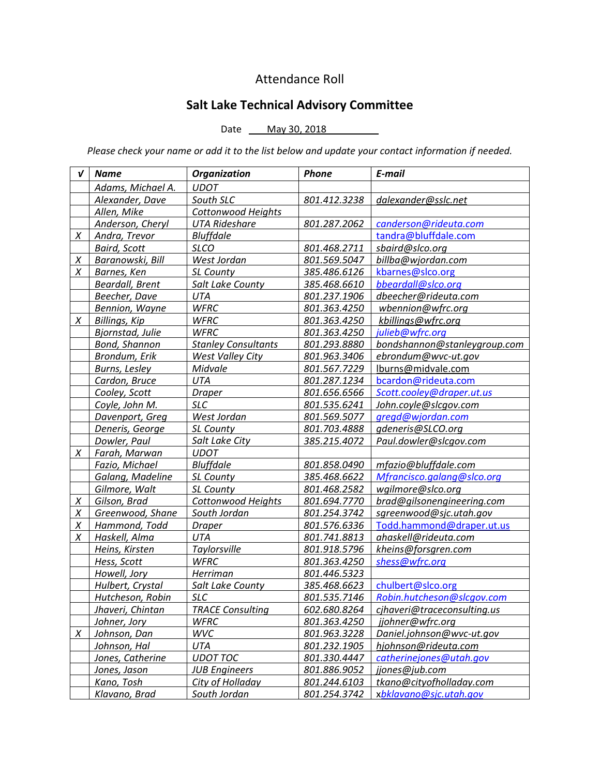## Attendance Roll

## Salt Lake Technical Advisory Committee

Date <u>May 30, 2018</u>

Please check your name or add it to the list below and update your contact information if needed.

| V      | <b>Name</b>             | <b>Organization</b>        | <b>Phone</b> | E-mail                       |
|--------|-------------------------|----------------------------|--------------|------------------------------|
|        | Adams, Michael A.       | <b>UDOT</b>                |              |                              |
|        | Alexander, Dave         | South SLC                  | 801.412.3238 | dalexander@sslc.net          |
|        | Allen, Mike             | Cottonwood Heights         |              |                              |
|        | Anderson, Cheryl        | <b>UTA Rideshare</b>       | 801.287.2062 | canderson@rideuta.com        |
| $\chi$ | Andra, Trevor           | <b>Bluffdale</b>           |              | tandra@bluffdale.com         |
|        | <b>Baird, Scott</b>     | <b>SLCO</b>                | 801.468.2711 | sbaird@slco.org              |
| Χ      | Baranowski, Bill        | West Jordan                | 801.569.5047 | billba@wjordan.com           |
| X      | Barnes, Ken             | SL County                  | 385.486.6126 | kbarnes@slco.org             |
|        | <b>Beardall, Brent</b>  | Salt Lake County           | 385.468.6610 | bbeardall@slco.org           |
|        | Beecher, Dave           | <b>UTA</b>                 | 801.237.1906 | dbeecher@rideuta.com         |
|        | Bennion, Wayne          | <b>WFRC</b>                | 801.363.4250 | wbennion@wfrc.org            |
| X      | Billings, Kip           | <b>WFRC</b>                | 801.363.4250 | kbillings@wfrc.org           |
|        | Bjornstad, Julie        | <b>WFRC</b>                | 801.363.4250 | julieb@wfrc.org              |
|        | Bond, Shannon           | <b>Stanley Consultants</b> | 801.293.8880 | bondshannon@stanleygroup.com |
|        | Brondum, Erik           | <b>West Valley City</b>    | 801.963.3406 | ebrondum@wvc-ut.gov          |
|        | Burns, Lesley           | Midvale                    | 801.567.7229 | lburns@midvale.com           |
|        | Cardon, Bruce           | UTA                        | 801.287.1234 | bcardon@rideuta.com          |
|        | Cooley, Scott           | <b>Draper</b>              | 801.656.6566 | Scott.cooley@draper.ut.us    |
|        | Coyle, John M.          | <b>SLC</b>                 | 801.535.6241 | John.coyle@slcgov.com        |
|        | Davenport, Greg         | West Jordan                | 801.569.5077 | gregd@wjordan.com            |
|        | Deneris, George         | SL County                  | 801.703.4888 | gdeneris@SLCO.org            |
|        | Dowler, Paul            | Salt Lake City             | 385.215.4072 | Paul.dowler@slcgov.com       |
| X      | Farah, Marwan           | <b>UDOT</b>                |              |                              |
|        | Fazio, Michael          | <b>Bluffdale</b>           | 801.858.0490 | mfazio@bluffdale.com         |
|        | Galang, Madeline        | SL County                  | 385.468.6622 | Mfrancisco.galang@slco.org   |
|        | Gilmore, Walt           | SL County                  | 801.468.2582 | wgilmore@slco.org            |
| X      | Gilson, Brad            | Cottonwood Heights         | 801.694.7770 | brad@gilsonengineering.com   |
| Χ      | Greenwood, Shane        | South Jordan               | 801.254.3742 | sgreenwood@sjc.utah.gov      |
| Χ      | Hammond, Todd           | <b>Draper</b>              | 801.576.6336 | Todd.hammond@draper.ut.us    |
| X      | Haskell, Alma           | UTA                        | 801.741.8813 | ahaskell@rideuta.com         |
|        | Heins, Kirsten          | Taylorsville               | 801.918.5796 | kheins@forsgren.com          |
|        | Hess, Scott             | <b>WFRC</b>                | 801.363.4250 | shess@wfrc.org               |
|        | Howell, Jory            | Herriman                   | 801.446.5323 |                              |
|        | Hulbert, Crystal        | Salt Lake County           | 385.468.6623 | chulbert@slco.org            |
|        | Hutcheson, Robin        | <b>SLC</b>                 | 801.535.7146 | Robin.hutcheson@slcgov.com   |
|        | <u>Jhaveri, Chintan</u> | <u>TRACE Consulting</u>    | 602.680.8264 | cjhaveri@traceconsulting.us  |
|        | Johner, Jory            | <b>WFRC</b>                | 801.363.4250 | <u>jjohner@wfrc.orq</u>      |
| X      | Johnson, Dan            | WVC                        | 801.963.3228 | Daniel.johnson@wvc-ut.gov    |
|        | Johnson, Hal            | UTA                        | 801.232.1905 | hjohnson@rideuta.com         |
|        | Jones, Catherine        | <b>UDOT TOC</b>            | 801.330.4447 | catherinejones@utah.gov      |
|        | Jones, Jason            | <b>JUB Engineers</b>       | 801.886.9052 | jjones@jub.com               |
|        | Kano, Tosh              | City of Holladay           | 801.244.6103 | tkano@cityofholladay.com     |
|        | Klavano, Brad           | South Jordan               | 801.254.3742 | xbklavano@sjc.utah.gov       |